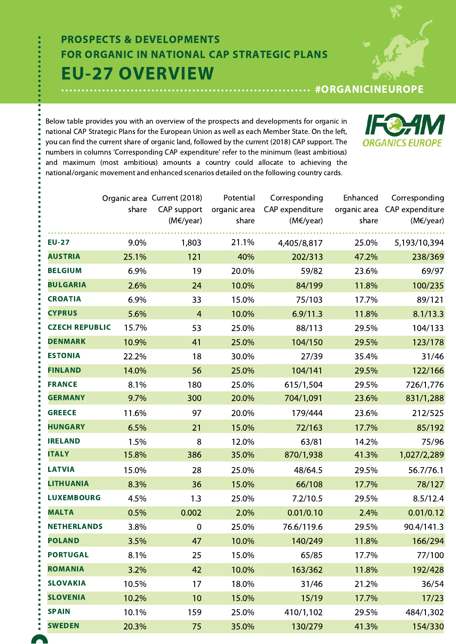# EU-27 OVERVIEW PROSPECTS & DEVELOPMENTS FOR ORGANIC IN NATIONAL CAP STRATEGIC PLANS

#ORGANICINEUROPE

**ORGANICS EUR** 

Below table provides you with an overview of the prospects and developments for organic in national CAP Strategic Plans for the European Union as well as each Member State. On the left, you can find the current share of organic land, followed by the current (2018) CAP support. The numbers in columns 'Corresponding CAP expenditure' refer to the minimum (least ambitious) and maximum (most ambitious) amounts a country could allocate to achieving the national/organic movement and enhanced scenarios detailed on the following country cards.

|                       | share | Organic area Current (2018)<br>CAP support | Potential<br>organic area | Corresponding<br>CAP expenditure | Enhanced<br>organic area | Corresponding<br>CAP expenditure |
|-----------------------|-------|--------------------------------------------|---------------------------|----------------------------------|--------------------------|----------------------------------|
|                       |       | (M€/year)                                  | share                     | (M€/year)                        | share                    | (M€/year)                        |
| <b>EU-27</b>          | 9.0%  | 1,803                                      | 21.1%                     | 4,405/8,817                      | 25.0%                    | 5,193/10,394                     |
| <b>AUSTRIA</b>        | 25.1% | 121                                        | 40%                       | 202/313                          | 47.2%                    | 238/369                          |
| <b>BELGIUM</b>        | 6.9%  | 19                                         | 20.0%                     | 59/82                            | 23.6%                    | 69/97                            |
| <b>BULGARIA</b>       | 2.6%  | 24                                         | 10.0%                     | 84/199                           | 11.8%                    | 100/235                          |
| <b>CROATIA</b>        | 6.9%  | 33                                         | 15.0%                     | 75/103                           | 17.7%                    | 89/121                           |
| <b>CYPRUS</b>         | 5.6%  | $\overline{4}$                             | 10.0%                     | 6.9/11.3                         | 11.8%                    | 8.1/13.3                         |
| <b>CZECH REPUBLIC</b> | 15.7% | 53                                         | 25.0%                     | 88/113                           | 29.5%                    | 104/133                          |
| <b>DENMARK</b>        | 10.9% | 41                                         | 25.0%                     | 104/150                          | 29.5%                    | 123/178                          |
| <b>ESTONIA</b>        | 22.2% | 18                                         | 30.0%                     | 27/39                            | 35.4%                    | 31/46                            |
| <b>FINLAND</b>        | 14.0% | 56                                         | 25.0%                     | 104/141                          | 29.5%                    | 122/166                          |
| <b>FRANCE</b>         | 8.1%  | 180                                        | 25.0%                     | 615/1,504                        | 29.5%                    | 726/1,776                        |
| <b>GERMANY</b>        | 9.7%  | 300                                        | 20.0%                     | 704/1,091                        | 23.6%                    | 831/1,288                        |
| <b>GREECE</b>         | 11.6% | 97                                         | 20.0%                     | 179/444                          | 23.6%                    | 212/525                          |
| <b>HUNGARY</b>        | 6.5%  | 21                                         | 15.0%                     | 72/163                           | 17.7%                    | 85/192                           |
| <b>IRELAND</b>        | 1.5%  | 8                                          | 12.0%                     | 63/81                            | 14.2%                    | 75/96                            |
| <b>ITALY</b>          | 15.8% | 386                                        | 35.0%                     | 870/1,938                        | 41.3%                    | 1,027/2,289                      |
| <b>LATVIA</b>         | 15.0% | 28                                         | 25.0%                     | 48/64.5                          | 29.5%                    | 56.7/76.1                        |
| <b>LITHUANIA</b>      | 8.3%  | 36                                         | 15.0%                     | 66/108                           | 17.7%                    | 78/127                           |
| <b>LUXEMBOURG</b>     | 4.5%  | 1.3                                        | 25.0%                     | 7.2/10.5                         | 29.5%                    | 8.5/12.4                         |
| <b>MALTA</b>          | 0.5%  | 0.002                                      | 2.0%                      | 0.01/0.10                        | 2.4%                     | 0.01/0.12                        |
| <b>NETHERLANDS</b>    | 3.8%  | $\mathbf 0$                                | 25.0%                     | 76.6/119.6                       | 29.5%                    | 90.4/141.3                       |
| <b>POLAND</b>         | 3.5%  | 47                                         | 10.0%                     | 140/249                          | 11.8%                    | 166/294                          |
| <b>PORTUGAL</b>       | 8.1%  | 25                                         | 15.0%                     | 65/85                            | 17.7%                    | 77/100                           |
| <b>ROMANIA</b>        | 3.2%  | 42                                         | 10.0%                     | 163/362                          | 11.8%                    | 192/428                          |
| <b>SLOVAKIA</b>       | 10.5% | 17                                         | 18.0%                     | 31/46                            | 21.2%                    | 36/54                            |
| <b>SLOVENIA</b>       | 10.2% | 10                                         | 15.0%                     | 15/19                            | 17.7%                    | 17/23                            |
| <b>SPAIN</b>          | 10.1% | 159                                        | 25.0%                     | 410/1,102                        | 29.5%                    | 484/1,302                        |
| <b>SWEDEN</b>         | 20.3% | 75                                         | 35.0%                     | 130/279                          | 41.3%                    | 154/330                          |

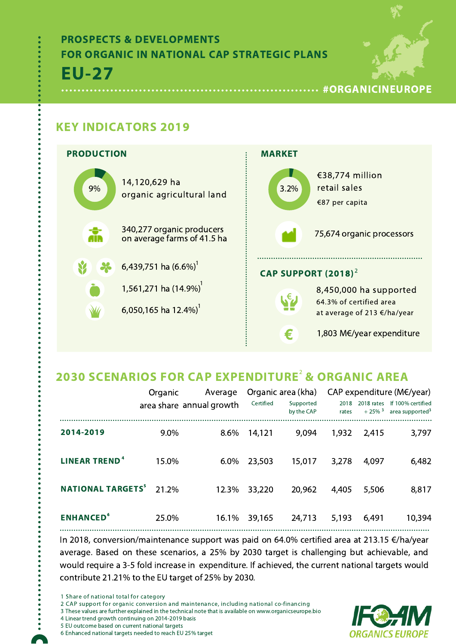## EU-27 PROSPECTS & DEVELOPMENTS FOR ORGANIC IN NATIONAL CAP STRATEGIC PLANS



### KEY INDICATORS 2019



## 2030 SCENARIOS FOR CAP EXPENDITURE<sup>2</sup> & ORGANIC AREA

|                                     | Organic                  | Average |           | Organic area (kha)      |               |                                    | CAP expenditure ( $M \in \mathcal{V}$ year)      |
|-------------------------------------|--------------------------|---------|-----------|-------------------------|---------------|------------------------------------|--------------------------------------------------|
|                                     | area share annual growth |         | Certified | Supported<br>by the CAP | 2018<br>rates | 2018 rates<br>$+25\%$ <sup>3</sup> | If 100% certified<br>area supported <sup>3</sup> |
| 2014-2019                           | 9.0%                     | 8.6%    | 14,121    | 9,094                   | 1,932         | 2,415                              | 3,797                                            |
| <b>LINEAR TREND<sup>4</sup></b>     | 15.0%                    | 6.0%    | 23,503    | 15,017                  | 3,278         | 4,097                              | 6,482                                            |
| <b>NATIONAL TARGETS<sup>5</sup></b> | 21.2%                    | 12.3%   | 33,220    | 20,962                  | 4,405         | 5,506                              | 8,817                                            |
| <b>ENHANCED<sup>6</sup></b>         | 25.0%                    | 16.1%   | 39,165    | 24,713                  | 5,193         | 6,491                              | 10,394                                           |

In 2018, conversion/maintenance support was paid on 64.0% certified area at 213.15 €/ha/year average. Based on these scenarios, a 25% by 2030 target is challenging but achievable, and would require a 3-5 fold increase in expenditure. If achieved, the current national targets would contribute 21.21% to the EU target of 25% by 2030.

1 Share of national total for category

2 CAP support for organic conversion and maintenance, including national co-financing

3 These values are further explained in the technical note that is available on www.organicseurope.bio

- 4 Linear trend growth continuing on 2014-2019 basis
- 5 EU outcome based on current national targets
- 6 Enhanced national targets needed to reach EU 25% target